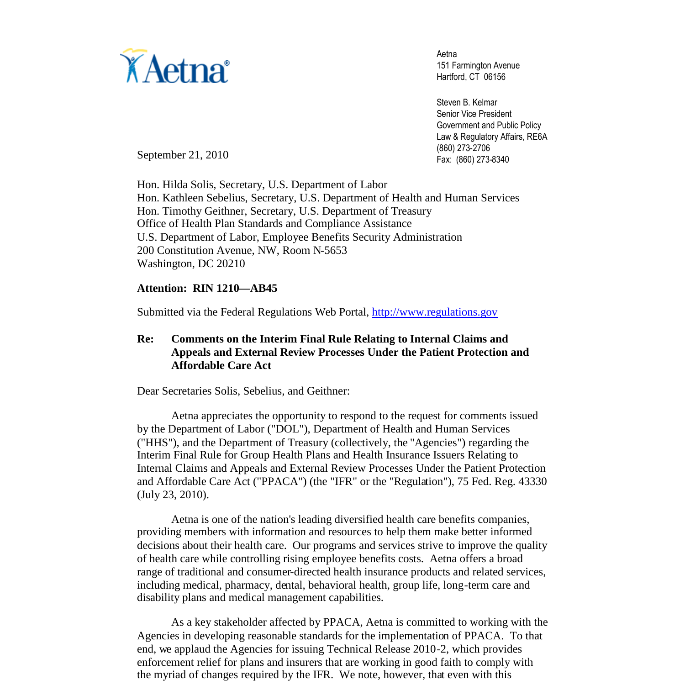

Aetna 151 Farmington Avenue Hartford, CT 06156

Steven B. Kelmar Senior Vice President Government and Public Policy Law & Regulatory Affairs, RE6A (860) 273-2706 Fax: (860) 273-8340

September 21, 2010

Hon. Hilda Solis, Secretary, U.S. Department of Labor Hon. Kathleen Sebelius, Secretary, U.S. Department of Health and Human Services Hon. Timothy Geithner, Secretary, U.S. Department of Treasury Office of Health Plan Standards and Compliance Assistance U.S. Department of Labor, Employee Benefits Security Administration 200 Constitution Avenue, NW, Room N-5653 Washington, DC 20210

### **Attention: RIN 1210—AB45**

Submitted via the Federal Regulations Web Portal, http://www.regulations.gov

# **Re: Comments on the Interim Final Rule Relating to Internal Claims and Appeals and External Review Processes Under the Patient Protection and Affordable Care Act**

Dear Secretaries Solis, Sebelius, and Geithner:

Aetna appreciates the opportunity to respond to the request for comments issued by the Department of Labor ("DOL"), Department of Health and Human Services ("HHS"), and the Department of Treasury (collectively, the "Agencies") regarding the Interim Final Rule for Group Health Plans and Health Insurance Issuers Relating to Internal Claims and Appeals and External Review Processes Under the Patient Protection and Affordable Care Act ("PPACA") (the "IFR" or the "Regulation"), 75 Fed. Reg. 43330 (July 23, 2010).

Aetna is one of the nation's leading diversified health care benefits companies, providing members with information and resources to help them make better informed decisions about their health care. Our programs and services strive to improve the quality of health care while controlling rising employee benefits costs. Aetna offers a broad range of traditional and consumer-directed health insurance products and related services, including medical, pharmacy, dental, behavioral health, group life, long-term care and disability plans and medical management capabilities.

As a key stakeholder affected by PPACA, Aetna is committed to working with the Agencies in developing reasonable standards for the implementation of PPACA. To that end, we applaud the Agencies for issuing Technical Release 2010-2, which provides enforcement relief for plans and insurers that are working in good faith to comply with the myriad of changes required by the IFR. We note, however, that even with this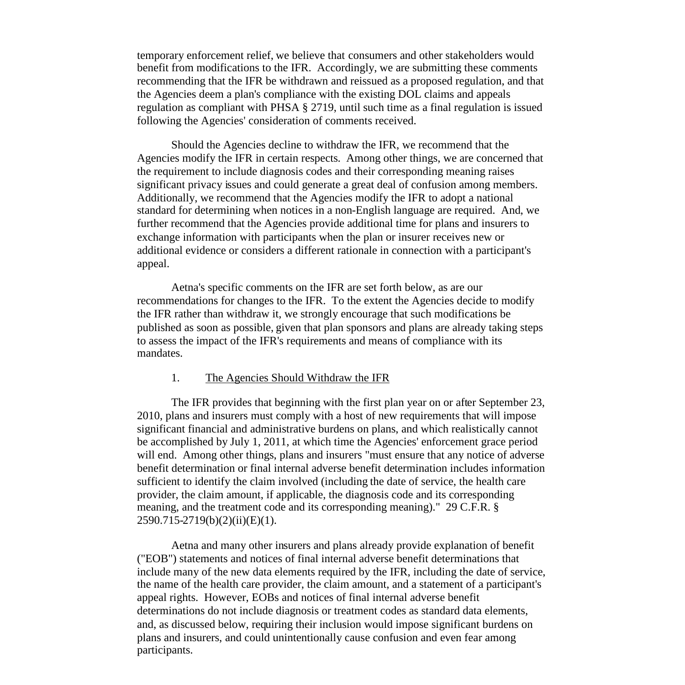temporary enforcement relief, we believe that consumers and other stakeholders would benefit from modifications to the IFR. Accordingly, we are submitting these comments recommending that the IFR be withdrawn and reissued as a proposed regulation, and that the Agencies deem a plan's compliance with the existing DOL claims and appeals regulation as compliant with PHSA § 2719, until such time as a final regulation is issued following the Agencies' consideration of comments received.

Should the Agencies decline to withdraw the IFR, we recommend that the Agencies modify the IFR in certain respects. Among other things, we are concerned that the requirement to include diagnosis codes and their corresponding meaning raises significant privacy issues and could generate a great deal of confusion among members. Additionally, we recommend that the Agencies modify the IFR to adopt a national standard for determining when notices in a non-English language are required. And, we further recommend that the Agencies provide additional time for plans and insurers to exchange information with participants when the plan or insurer receives new or additional evidence or considers a different rationale in connection with a participant's appeal.

Aetna's specific comments on the IFR are set forth below, as are our recommendations for changes to the IFR. To the extent the Agencies decide to modify the IFR rather than withdraw it, we strongly encourage that such modifications be published as soon as possible, given that plan sponsors and plans are already taking steps to assess the impact of the IFR's requirements and means of compliance with its mandates.

#### 1. The Agencies Should Withdraw the IFR

The IFR provides that beginning with the first plan year on or after September 23, 2010, plans and insurers must comply with a host of new requirements that will impose significant financial and administrative burdens on plans, and which realistically cannot be accomplished by July 1, 2011, at which time the Agencies' enforcement grace period will end. Among other things, plans and insurers "must ensure that any notice of adverse benefit determination or final internal adverse benefit determination includes information sufficient to identify the claim involved (including the date of service, the health care provider, the claim amount, if applicable, the diagnosis code and its corresponding meaning, and the treatment code and its corresponding meaning)." 29 C.F.R. § 2590.715-2719(b)(2)(ii)(E)(1).

Aetna and many other insurers and plans already provide explanation of benefit ("EOB") statements and notices of final internal adverse benefit determinations that include many of the new data elements required by the IFR, including the date of service, the name of the health care provider, the claim amount, and a statement of a participant's appeal rights. However, EOBs and notices of final internal adverse benefit determinations do not include diagnosis or treatment codes as standard data elements, and, as discussed below, requiring their inclusion would impose significant burdens on plans and insurers, and could unintentionally cause confusion and even fear among participants.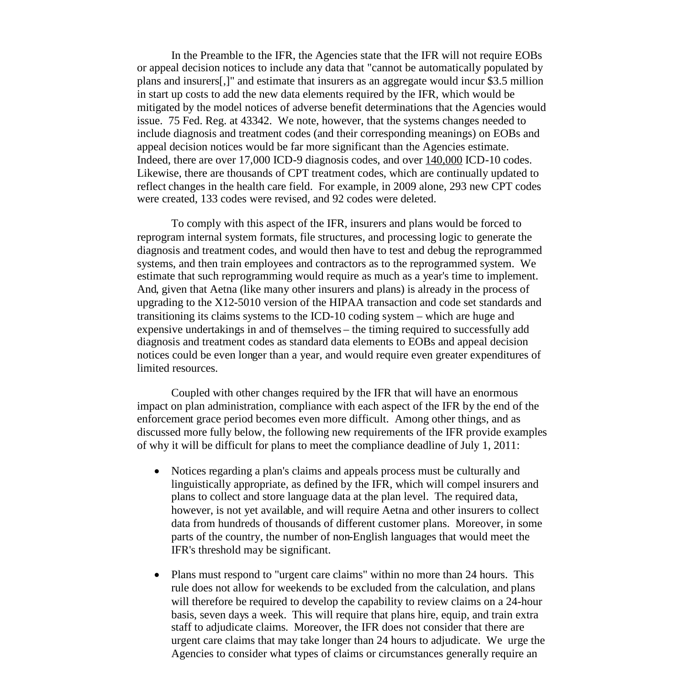In the Preamble to the IFR, the Agencies state that the IFR will not require EOBs or appeal decision notices to include any data that "cannot be automatically populated by plans and insurers[,]" and estimate that insurers as an aggregate would incur \$3.5 million in start up costs to add the new data elements required by the IFR, which would be mitigated by the model notices of adverse benefit determinations that the Agencies would issue. 75 Fed. Reg. at 43342. We note, however, that the systems changes needed to include diagnosis and treatment codes (and their corresponding meanings) on EOBs and appeal decision notices would be far more significant than the Agencies estimate. Indeed, there are over  $17,000$  ICD-9 diagnosis codes, and over  $140,000$  ICD-10 codes. Likewise, there are thousands of CPT treatment codes, which are continually updated to reflect changes in the health care field. For example, in 2009 alone, 293 new CPT codes were created, 133 codes were revised, and 92 codes were deleted.

To comply with this aspect of the IFR, insurers and plans would be forced to reprogram internal system formats, file structures, and processing logic to generate the diagnosis and treatment codes, and would then have to test and debug the reprogrammed systems, and then train employees and contractors as to the reprogrammed system. We estimate that such reprogramming would require as much as a year's time to implement. And, given that Aetna (like many other insurers and plans) is already in the process of upgrading to the X12-5010 version of the HIPAA transaction and code set standards and transitioning its claims systems to the ICD-10 coding system – which are huge and expensive undertakings in and of themselves – the timing required to successfully add diagnosis and treatment codes as standard data elements to EOBs and appeal decision notices could be even longer than a year, and would require even greater expenditures of limited resources.

Coupled with other changes required by the IFR that will have an enormous impact on plan administration, compliance with each aspect of the IFR by the end of the enforcement grace period becomes even more difficult. Among other things, and as discussed more fully below, the following new requirements of the IFR provide examples of why it will be difficult for plans to meet the compliance deadline of July 1, 2011:

- Notices regarding a plan's claims and appeals process must be culturally and linguistically appropriate, as defined by the IFR, which will compel insurers and plans to collect and store language data at the plan level. The required data, however, is not yet available, and will require Aetna and other insurers to collect data from hundreds of thousands of different customer plans. Moreover, in some parts of the country, the number of non-English languages that would meet the IFR's threshold may be significant.
- Plans must respond to "urgent care claims" within no more than 24 hours. This rule does not allow for weekends to be excluded from the calculation, and plans will therefore be required to develop the capability to review claims on a 24-hour basis, seven days a week. This will require that plans hire, equip, and train extra staff to adjudicate claims. Moreover, the IFR does not consider that there are urgent care claims that may take longer than 24 hours to adjudicate. We urge the Agencies to consider what types of claims or circumstances generally require an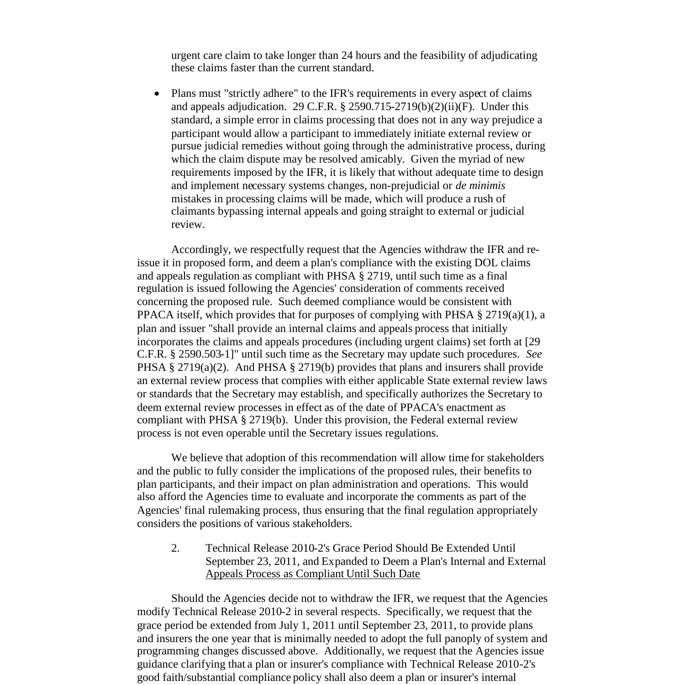urgent care claim to take longer than 24 hours and the feasibility of adjudicating these claims faster than the current standard.

• Plans must "strictly adhere" to the IFR's requirements in every aspect of claims and appeals adjudication. 29 C.F.R. § 2590.715-2719(b)(2)(ii)(F). Under this standard, a simple error in claims processing that does not in any way prejudice a participant would allow a participant to immediately initiate external review or pursue judicial remedies without going through the administrative process, during which the claim dispute may be resolved amicably. Given the myriad of new requirements imposed by the IFR, it is likely that without adequate time to design and implement necessary systems changes, non-prejudicial or *de minimis* mistakes in processing claims will be made, which will produce a rush of claimants bypassing internal appeals and going straight to external or judicial review.

Accordingly, we respectfully request that the Agencies withdraw the IFR and reissue it in proposed form, and deem a plan's compliance with the existing DOL claims and appeals regulation as compliant with PHSA § 2719, until such time as a final regulation is issued following the Agencies' consideration of comments received concerning the proposed rule. Such deemed compliance would be consistent with PPACA itself, which provides that for purposes of complying with PHSA  $\S 2719(a)(1)$ , a plan and issuer "shall provide an internal claims and appeals process that initially incorporates the claims and appeals procedures (including urgent claims) set forth at [29 C.F.R. § 2590.503-1]" until such time as the Secretary may update such procedures. *See* PHSA § 2719(a)(2). And PHSA § 2719(b) provides that plans and insurers shall provide an external review process that complies with either applicable State external review laws or standards that the Secretary may establish, and specifically authorizes the Secretary to deem external review processes in effect as of the date of PPACA's enactment as compliant with PHSA § 2719(b). Under this provision, the Federal external review process is not even operable until the Secretary issues regulations.

We believe that adoption of this recommendation will allow time for stakeholders and the public to fully consider the implications of the proposed rules, their benefits to plan participants, and their impact on plan administration and operations. This would also afford the Agencies time to evaluate and incorporate the comments as part of the Agencies' final rulemaking process, thus ensuring that the final regulation appropriately considers the positions of various stakeholders.

2. Technical Release 2010-2's Grace Period Should Be Extended Until September 23, 2011, and Expanded to Deem a Plan's Internal and External Appeals Process as Compliant Until Such Date

Should the Agencies decide not to withdraw the IFR, we request that the Agencies modify Technical Release 2010-2 in several respects. Specifically, we request that the grace period be extended from July 1, 2011 until September 23, 2011, to provide plans and insurers the one year that is minimally needed to adopt the full panoply of system and programming changes discussed above. Additionally, we request that the Agencies issue guidance clarifying that a plan or insurer's compliance with Technical Release 2010-2's good faith/substantial compliance policy shall also deem a plan or insurer's internal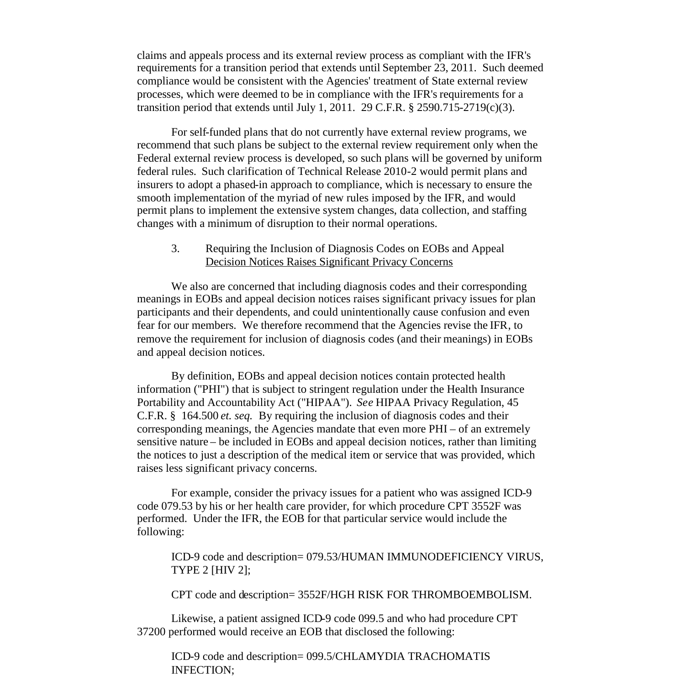claims and appeals process and its external review process as compliant with the IFR's requirements for a transition period that extends until September 23, 2011. Such deemed compliance would be consistent with the Agencies' treatment of State external review processes, which were deemed to be in compliance with the IFR's requirements for a transition period that extends until July 1, 2011. 29 C.F.R.  $\S$  2590.715-2719(c)(3).

For self-funded plans that do not currently have external review programs, we recommend that such plans be subject to the external review requirement only when the Federal external review process is developed, so such plans will be governed by uniform federal rules. Such clarification of Technical Release 2010-2 would permit plans and insurers to adopt a phased-in approach to compliance, which is necessary to ensure the smooth implementation of the myriad of new rules imposed by the IFR, and would permit plans to implement the extensive system changes, data collection, and staffing changes with a minimum of disruption to their normal operations.

## 3. Requiring the Inclusion of Diagnosis Codes on EOBs and Appeal Decision Notices Raises Significant Privacy Concerns

We also are concerned that including diagnosis codes and their corresponding meanings in EOBs and appeal decision notices raises significant privacy issues for plan participants and their dependents, and could unintentionally cause confusion and even fear for our members. We therefore recommend that the Agencies revise the IFR, to remove the requirement for inclusion of diagnosis codes (and their meanings) in EOBs and appeal decision notices.

By definition, EOBs and appeal decision notices contain protected health information ("PHI") that is subject to stringent regulation under the Health Insurance Portability and Accountability Act ("HIPAA"). *See* HIPAA Privacy Regulation, 45 C.F.R. § 164.500 *et. seq.* By requiring the inclusion of diagnosis codes and their corresponding meanings, the Agencies mandate that even more PHI – of an extremely sensitive nature – be included in EOBs and appeal decision notices, rather than limiting the notices to just a description of the medical item or service that was provided, which raises less significant privacy concerns.

For example, consider the privacy issues for a patient who was assigned ICD-9 code 079.53 by his or her health care provider, for which procedure CPT 3552F was performed. Under the IFR, the EOB for that particular service would include the following:

ICD-9 code and description= 079.53/HUMAN IMMUNODEFICIENCY VIRUS, TYPE 2 [HIV 2];

CPT code and description= 3552F/HGH RISK FOR THROMBOEMBOLISM.

Likewise, a patient assigned ICD-9 code 099.5 and who had procedure CPT 37200 performed would receive an EOB that disclosed the following:

ICD-9 code and description= 099.5/CHLAMYDIA TRACHOMATIS INFECTION;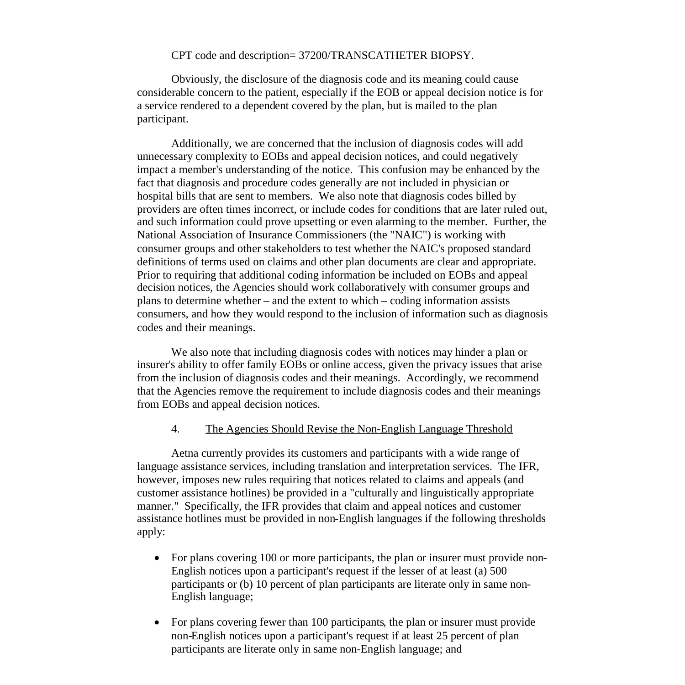#### CPT code and description= 37200/TRANSCATHETER BIOPSY.

Obviously, the disclosure of the diagnosis code and its meaning could cause considerable concern to the patient, especially if the EOB or appeal decision notice is for a service rendered to a dependent covered by the plan, but is mailed to the plan participant.

Additionally, we are concerned that the inclusion of diagnosis codes will add unnecessary complexity to EOBs and appeal decision notices, and could negatively impact a member's understanding of the notice. This confusion may be enhanced by the fact that diagnosis and procedure codes generally are not included in physician or hospital bills that are sent to members. We also note that diagnosis codes billed by providers are often times incorrect, or include codes for conditions that are later ruled out, and such information could prove upsetting or even alarming to the member. Further, the National Association of Insurance Commissioners (the "NAIC") is working with consumer groups and other stakeholders to test whether the NAIC's proposed standard definitions of terms used on claims and other plan documents are clear and appropriate. Prior to requiring that additional coding information be included on EOBs and appeal decision notices, the Agencies should work collaboratively with consumer groups and plans to determine whether – and the extent to which – coding information assists consumers, and how they would respond to the inclusion of information such as diagnosis codes and their meanings.

We also note that including diagnosis codes with notices may hinder a plan or insurer's ability to offer family EOBs or online access, given the privacy issues that arise from the inclusion of diagnosis codes and their meanings. Accordingly, we recommend that the Agencies remove the requirement to include diagnosis codes and their meanings from EOBs and appeal decision notices.

#### 4. The Agencies Should Revise the Non-English Language Threshold

Aetna currently provides its customers and participants with a wide range of language assistance services, including translation and interpretation services. The IFR, however, imposes new rules requiring that notices related to claims and appeals (and customer assistance hotlines) be provided in a "culturally and linguistically appropriate manner." Specifically, the IFR provides that claim and appeal notices and customer assistance hotlines must be provided in non-English languages if the following thresholds apply:

- For plans covering 100 or more participants, the plan or insurer must provide non-English notices upon a participant's request if the lesser of at least (a) 500 participants or (b) 10 percent of plan participants are literate only in same non-English language;
- For plans covering fewer than 100 participants, the plan or insurer must provide non-English notices upon a participant's request if at least 25 percent of plan participants are literate only in same non-English language; and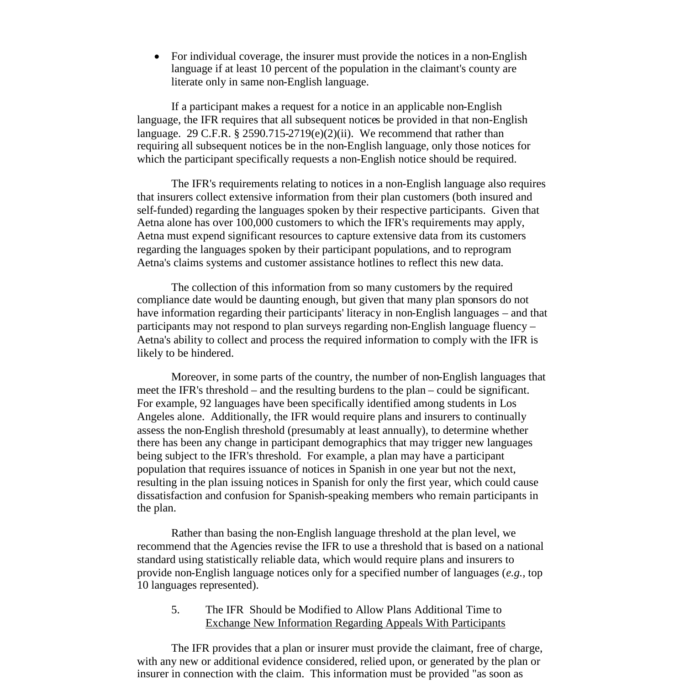For individual coverage, the insurer must provide the notices in a non-English language if at least 10 percent of the population in the claimant's county are literate only in same non-English language.

If a participant makes a request for a notice in an applicable non-English language, the IFR requires that all subsequent notices be provided in that non-English language. 29 C.F.R.  $\S$  2590.715-2719(e)(2)(ii). We recommend that rather than requiring all subsequent notices be in the non-English language, only those notices for which the participant specifically requests a non-English notice should be required.

The IFR's requirements relating to notices in a non-English language also requires that insurers collect extensive information from their plan customers (both insured and self-funded) regarding the languages spoken by their respective participants. Given that Aetna alone has over 100,000 customers to which the IFR's requirements may apply, Aetna must expend significant resources to capture extensive data from its customers regarding the languages spoken by their participant populations, and to reprogram Aetna's claims systems and customer assistance hotlines to reflect this new data.

The collection of this information from so many customers by the required compliance date would be daunting enough, but given that many plan sponsors do not have information regarding their participants' literacy in non-English languages – and that participants may not respond to plan surveys regarding non-English language fluency – Aetna's ability to collect and process the required information to comply with the IFR is likely to be hindered.

Moreover, in some parts of the country, the number of non-English languages that meet the IFR's threshold – and the resulting burdens to the plan – could be significant. For example, 92 languages have been specifically identified among students in Los Angeles alone. Additionally, the IFR would require plans and insurers to continually assess the non-English threshold (presumably at least annually), to determine whether there has been any change in participant demographics that may trigger new languages being subject to the IFR's threshold. For example, a plan may have a participant population that requires issuance of notices in Spanish in one year but not the next, resulting in the plan issuing notices in Spanish for only the first year, which could cause dissatisfaction and confusion for Spanish-speaking members who remain participants in the plan.

Rather than basing the non-English language threshold at the plan level, we recommend that the Agencies revise the IFR to use a threshold that is based on a national standard using statistically reliable data, which would require plans and insurers to provide non-English language notices only for a specified number of languages (*e.g.,* top 10 languages represented).

# 5. The IFR Should be Modified to Allow Plans Additional Time to Exchange New Information Regarding Appeals With Participants

The IFR provides that a plan or insurer must provide the claimant, free of charge, with any new or additional evidence considered, relied upon, or generated by the plan or insurer in connection with the claim. This information must be provided "as soon as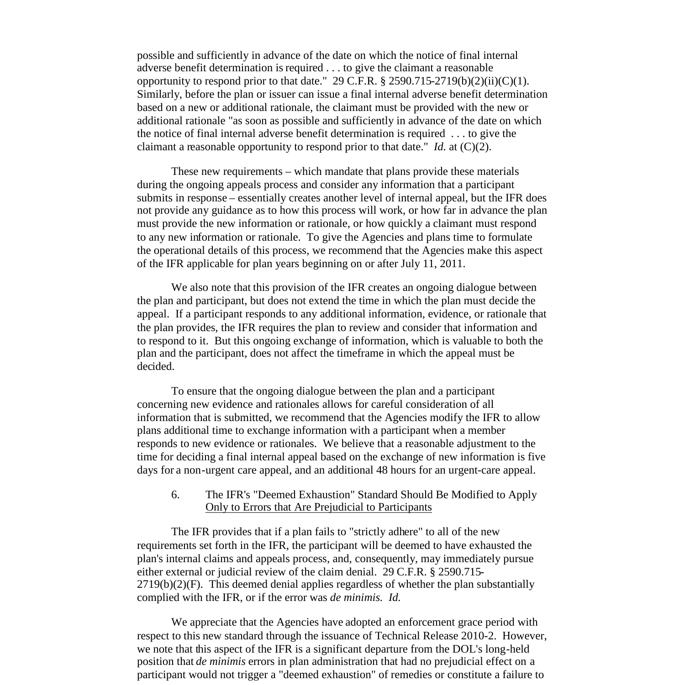possible and sufficiently in advance of the date on which the notice of final internal adverse benefit determination is required . . . to give the claimant a reasonable opportunity to respond prior to that date." 29 C.F.R.  $\S 2590.715-2719(b)(2)(ii)(C)(1)$ . Similarly, before the plan or issuer can issue a final internal adverse benefit determination based on a new or additional rationale, the claimant must be provided with the new or additional rationale "as soon as possible and sufficiently in advance of the date on which the notice of final internal adverse benefit determination is required . . . to give the claimant a reasonable opportunity to respond prior to that date." *Id.* at (C)(2).

These new requirements – which mandate that plans provide these materials during the ongoing appeals process and consider any information that a participant submits in response – essentially creates another level of internal appeal, but the IFR does not provide any guidance as to how this process will work, or how far in advance the plan must provide the new information or rationale, or how quickly a claimant must respond to any new information or rationale. To give the Agencies and plans time to formulate the operational details of this process, we recommend that the Agencies make this aspect of the IFR applicable for plan years beginning on or after July 11, 2011.

We also note that this provision of the IFR creates an ongoing dialogue between the plan and participant, but does not extend the time in which the plan must decide the appeal. If a participant responds to any additional information, evidence, or rationale that the plan provides, the IFR requires the plan to review and consider that information and to respond to it. But this ongoing exchange of information, which is valuable to both the plan and the participant, does not affect the timeframe in which the appeal must be decided.

To ensure that the ongoing dialogue between the plan and a participant concerning new evidence and rationales allows for careful consideration of all information that is submitted, we recommend that the Agencies modify the IFR to allow plans additional time to exchange information with a participant when a member responds to new evidence or rationales. We believe that a reasonable adjustment to the time for deciding a final internal appeal based on the exchange of new information is five days for a non-urgent care appeal, and an additional 48 hours for an urgent-care appeal.

### 6. The IFR's "Deemed Exhaustion" Standard Should Be Modified to Apply Only to Errors that Are Prejudicial to Participants

The IFR provides that if a plan fails to "strictly adhere" to all of the new requirements set forth in the IFR, the participant will be deemed to have exhausted the plan's internal claims and appeals process, and, consequently, may immediately pursue either external or judicial review of the claim denial. 29 C.F.R. § 2590.715-  $2719(b)(2)(F)$ . This deemed denial applies regardless of whether the plan substantially complied with the IFR, or if the error was *de minimis. Id.*

We appreciate that the Agencies have adopted an enforcement grace period with respect to this new standard through the issuance of Technical Release 2010-2. However, we note that this aspect of the IFR is a significant departure from the DOL's long-held position that *de minimis* errors in plan administration that had no prejudicial effect on a participant would not trigger a "deemed exhaustion" of remedies or constitute a failure to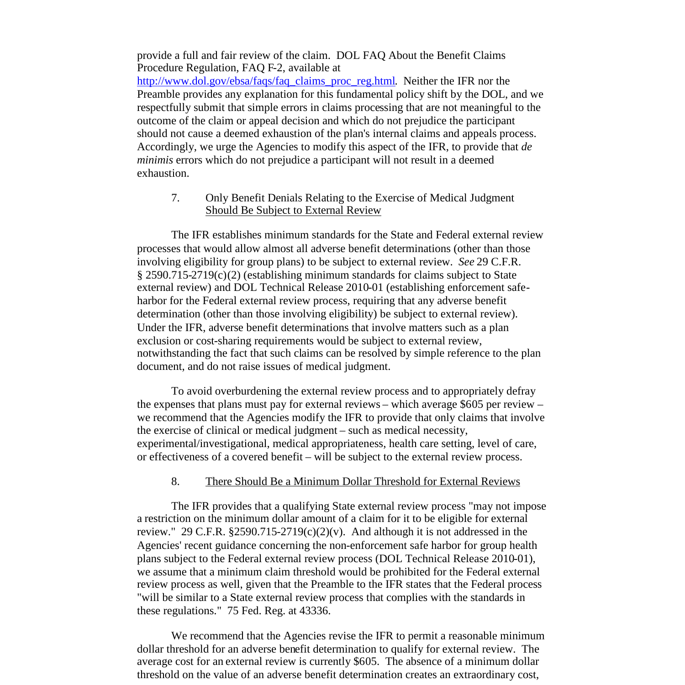provide a full and fair review of the claim. DOL FAQ About the Benefit Claims Procedure Regulation, FAQ F-2, available at

http://www.dol.gov/ebsa/faqs/faq\_claims\_proc\_reg.html. Neither the IFR nor the Preamble provides any explanation for this fundamental policy shift by the DOL, and we respectfully submit that simple errors in claims processing that are not meaningful to the outcome of the claim or appeal decision and which do not prejudice the participant should not cause a deemed exhaustion of the plan's internal claims and appeals process. Accordingly, we urge the Agencies to modify this aspect of the IFR, to provide that *de minimis* errors which do not prejudice a participant will not result in a deemed exhaustion.

7. Only Benefit Denials Relating to the Exercise of Medical Judgment Should Be Subject to External Review

The IFR establishes minimum standards for the State and Federal external review processes that would allow almost all adverse benefit determinations (other than those involving eligibility for group plans) to be subject to external review. *See* 29 C.F.R. § 2590.715-2719(c)(2) (establishing minimum standards for claims subject to State external review) and DOL Technical Release 2010-01 (establishing enforcement safeharbor for the Federal external review process, requiring that any adverse benefit determination (other than those involving eligibility) be subject to external review). Under the IFR, adverse benefit determinations that involve matters such as a plan exclusion or cost-sharing requirements would be subject to external review, notwithstanding the fact that such claims can be resolved by simple reference to the plan document, and do not raise issues of medical judgment.

To avoid overburdening the external review process and to appropriately defray the expenses that plans must pay for external reviews – which average \$605 per review – we recommend that the Agencies modify the IFR to provide that only claims that involve the exercise of clinical or medical judgment – such as medical necessity, experimental/investigational, medical appropriateness, health care setting, level of care, or effectiveness of a covered benefit – will be subject to the external review process.

#### 8. There Should Be a Minimum Dollar Threshold for External Reviews

The IFR provides that a qualifying State external review process "may not impose a restriction on the minimum dollar amount of a claim for it to be eligible for external review." 29 C.F.R.  $\S 2590.715-2719(c)(2)(v)$ . And although it is not addressed in the Agencies' recent guidance concerning the non-enforcement safe harbor for group health plans subject to the Federal external review process (DOL Technical Release 2010-01), we assume that a minimum claim threshold would be prohibited for the Federal external review process as well, given that the Preamble to the IFR states that the Federal process "will be similar to a State external review process that complies with the standards in these regulations." 75 Fed. Reg. at 43336.

We recommend that the Agencies revise the IFR to permit a reasonable minimum dollar threshold for an adverse benefit determination to qualify for external review. The average cost for an external review is currently \$605. The absence of a minimum dollar threshold on the value of an adverse benefit determination creates an extraordinary cost,